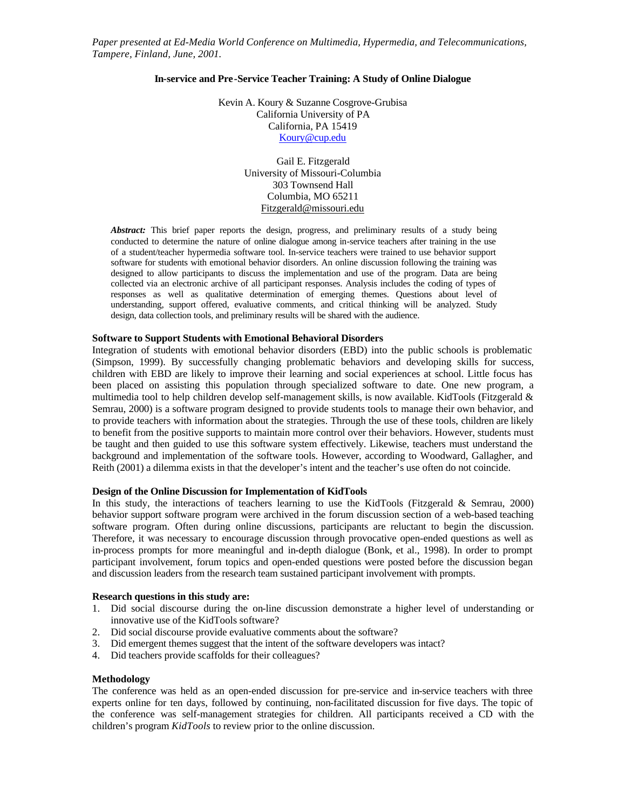*Paper presented at Ed-Media World Conference on Multimedia, Hypermedia, and Telecommunications, Tampere, Finland, June, 2001.*

## **In-service and Pre-Service Teacher Training: A Study of Online Dialogue**

Kevin A. Koury & Suzanne Cosgrove-Grubisa California University of PA California, PA 15419 Koury@cup.edu

> Gail E. Fitzgerald University of Missouri-Columbia 303 Townsend Hall Columbia, MO 65211 Fitzgerald@missouri.edu

*Abstract:* This brief paper reports the design, progress, and preliminary results of a study being conducted to determine the nature of online dialogue among in-service teachers after training in the use of a student/teacher hypermedia software tool. In-service teachers were trained to use behavior support software for students with emotional behavior disorders. An online discussion following the training was designed to allow participants to discuss the implementation and use of the program. Data are being collected via an electronic archive of all participant responses. Analysis includes the coding of types of responses as well as qualitative determination of emerging themes. Questions about level of understanding, support offered, evaluative comments, and critical thinking will be analyzed. Study design, data collection tools, and preliminary results will be shared with the audience.

# **Software to Support Students with Emotional Behavioral Disorders**

Integration of students with emotional behavior disorders (EBD) into the public schools is problematic (Simpson, 1999). By successfully changing problematic behaviors and developing skills for success, children with EBD are likely to improve their learning and social experiences at school. Little focus has been placed on assisting this population through specialized software to date. One new program, a multimedia tool to help children develop self-management skills, is now available. KidTools (Fitzgerald & Semrau, 2000) is a software program designed to provide students tools to manage their own behavior, and to provide teachers with information about the strategies. Through the use of these tools, children are likely to benefit from the positive supports to maintain more control over their behaviors. However, students must be taught and then guided to use this software system effectively. Likewise, teachers must understand the background and implementation of the software tools. However, according to Woodward, Gallagher, and Reith (2001) a dilemma exists in that the developer's intent and the teacher's use often do not coincide.

### **Design of the Online Discussion for Implementation of KidTools**

In this study, the interactions of teachers learning to use the KidTools (Fitzgerald & Semrau, 2000) behavior support software program were archived in the forum discussion section of a web-based teaching software program. Often during online discussions, participants are reluctant to begin the discussion. Therefore, it was necessary to encourage discussion through provocative open-ended questions as well as in-process prompts for more meaningful and in-depth dialogue (Bonk, et al., 1998). In order to prompt participant involvement, forum topics and open-ended questions were posted before the discussion began and discussion leaders from the research team sustained participant involvement with prompts.

### **Research questions in this study are:**

- 1. Did social discourse during the on-line discussion demonstrate a higher level of understanding or innovative use of the KidTools software?
- 2. Did social discourse provide evaluative comments about the software?
- 3. Did emergent themes suggest that the intent of the software developers was intact?
- 4. Did teachers provide scaffolds for their colleagues?

## **Methodology**

The conference was held as an open-ended discussion for pre-service and in-service teachers with three experts online for ten days, followed by continuing, non-facilitated discussion for five days. The topic of the conference was self-management strategies for children. All participants received a CD with the children's program *KidTools* to review prior to the online discussion.